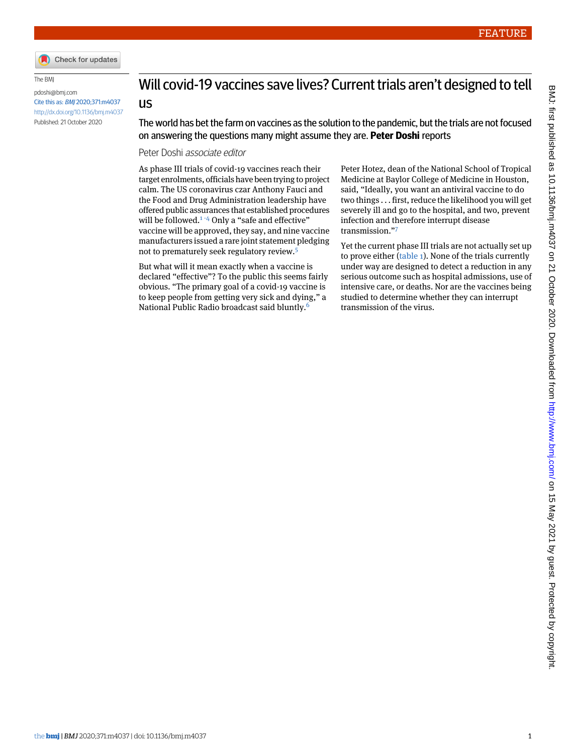

The BMJ

[pdoshi@bmj.com](mailto:pdoshi@bmj.com) Cite this as: BMJ 2020;371:m4037 <http://dx.doi.org/10.1136/bmj.m4037> Published: 21 October 2020

# Will covid-19 vaccines save lives? Current trials aren't designed to tell us

The world has bet the farm on vaccines as the solution to the pandemic, but the trials are not focused on answering the questions many might assume they are. **Peter Doshi** reports

### Peter Doshi associate editor

As phase III trials of covid-19 vaccines reach their target enrolments, officials have been trying to project calm. The US coronavirus czar Anthony Fauci and the Food and Drug Administration leadership have offered public assurances that established procedures will be followed. $1 - 4$  $1 - 4$  $1 - 4$  $1 - 4$  Only a "safe and effective" vaccine will be approved, they say, and nine vaccine manufacturers issued a rare joint statement pledging not to prematurely seek regulatory review.[5](#page-3-3)

But what will it mean exactly when a vaccine is declared "effective"? To the public this seems fairly obvious. "The primary goal of a covid-19 vaccine is to keep people from getting very sick and dying," a National Public Radio broadcast said bluntly.<sup>[6](#page-3-4)</sup>

Peter Hotez, dean of the National School of Tropical Medicine at Baylor College of Medicine in Houston, said, "Ideally, you want an antiviral vaccine to do two things . . . first, reduce the likelihood you will get severely ill and go to the hospital, and two, prevent infection and therefore interrupt disease transmission." [7](#page-3-5)

Yet the current phase III trials are not actually set up to prove either [\(table 1](#page-1-0)). None of the trials currently under way are designed to detect a reduction in any serious outcome such as hospital admissions, use of intensive care, or deaths. Nor are the vaccines being studied to determine whether they can interrupt transmission of the virus.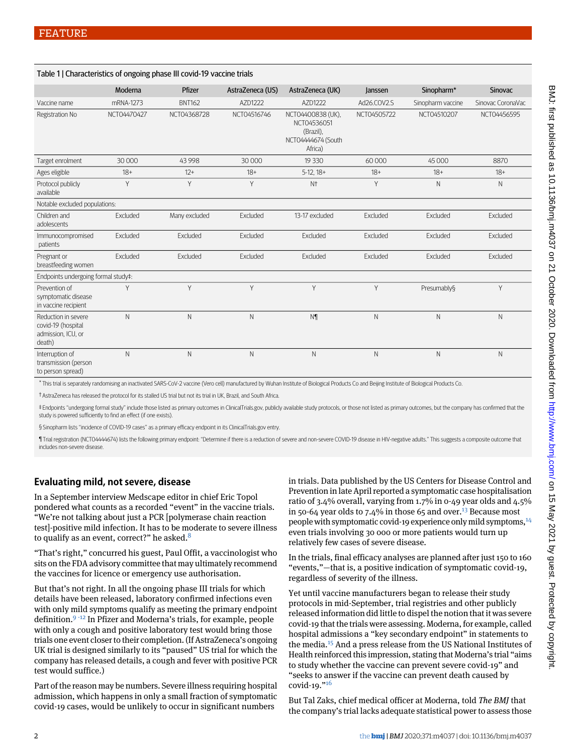|                                                                           | Moderna     | Pfizer        | AstraZeneca (US) | AstraZeneca (UK)                                                               | Janssen      | Sinopharm*        | <b>Sinovac</b>    |
|---------------------------------------------------------------------------|-------------|---------------|------------------|--------------------------------------------------------------------------------|--------------|-------------------|-------------------|
| Vaccine name                                                              | mRNA-1273   | <b>BNT162</b> | AZD1222          | AZD1222                                                                        | Ad26.COV2.S  | Sinopharm vaccine | Sinovac CoronaVad |
| Registration No                                                           | NCT04470427 | NCT04368728   | NCT04516746      | NCT04400838 (UK),<br>NCT04536051<br>(Brazil).<br>NCT04444674 (South<br>Africa) | NCT04505722  | NCT04510207       | NCT04456595       |
| Target enrolment                                                          | 30 000      | 43 9 98       | 30 000           | 19 3 30                                                                        | 60000        | 45 000            | 8870              |
| Ages eligible                                                             | $18+$       | $12+$         | $18+$            | $5-12, 18+$                                                                    | $18+$        | $18+$             | $18+$             |
| Protocol publicly<br>available                                            | Y           | Y             | Y                | N <sup>+</sup>                                                                 | Y            | $\mathsf{N}$      | $\mathsf{N}$      |
| Notable excluded populations:                                             |             |               |                  |                                                                                |              |                   |                   |
| Children and<br>adolescents                                               | Excluded    | Many excluded | Excluded         | 13-17 excluded                                                                 | Excluded     | Excluded          | Excluded          |
| Immunocompromised<br>patients                                             | Excluded    | Excluded      | Excluded         | Excluded                                                                       | Excluded     | Excluded          | Excluded          |
| Pregnant or<br>breastfeeding women                                        | Excluded    | Excluded      | Excluded         | Excluded                                                                       | Excluded     | Excluded          | Excluded          |
| Endpoints undergoing formal study#:                                       |             |               |                  |                                                                                |              |                   |                   |
| Prevention of<br>symptomatic disease<br>in vaccine recipient              | Y           | Y             | Y                | Y                                                                              | Y            | Presumably§       | Y                 |
| Reduction in severe<br>covid-19 (hospital<br>admission, ICU, or<br>death) | N.          | N             | $\mathsf{N}$     | N¶                                                                             | $\mathsf{N}$ | $\mathsf{N}$      | $\mathsf{N}$      |
| Interruption of<br>transmission (person<br>to person spread)              | N           | N             | $\mathsf{N}$     | $\mathsf{N}$                                                                   | $\mathsf{N}$ | N                 | $\mathsf{N}$      |

\* This trial is separately randomising an inactivated SARS-CoV-2 vaccine (Vero cell) manufactured by Wuhan Institute of Biological Products Co and Beijing Institute of Biological Products Co.

† AstraZeneca has released the protocol for its stalled US trial but not its trial in UK, Brazil, and South Africa.

<span id="page-1-0"></span>Table 1 | Characteristics of ongoing phase III covid-19 vaccine trials

‡ Endpoints "undergoing formal study" include those listed as primary outcomes in ClinicalTrials.gov, publicly available study protocols, or those not listed as primary outcomes, but the company has confirmed that the study is powered sufficiently to find an effect (if one exists).

§ Sinopharm lists "incidence of COVID-19 cases" as a primary efficacy endpoint in its ClinicalTrials.gov entry.

¶ Trial registration (NCT04444674) lists the following primary endpoint: "Determine if there is a reduction of severe and non-severe COVID-19 disease in HIV-negative adults." This suggests a composite outcome that includes non-severe disease.

## **Evaluating mild, not severe, disease**

In a September interview Medscape editor in chief Eric Topol pondered what counts as a recorded "event" in the vaccine trials. "We're not talking about just a PCR [polymerase chain reaction test]-positive mild infection. It has to be moderate to severe illness to qualify as an event, correct?" he asked. $8$ 

"That's right," concurred his guest, Paul Offit, a vaccinologist who sits on the FDA advisory committee that may ultimately recommend the vaccines for licence or emergency use authorisation.

But that's not right. In all the ongoing phase III trials for which details have been released, laboratory confirmed infections even with only mild symptoms qualify as meeting the primary endpoint definition.[9](#page-3-7) [-](#page-3-8)[12](#page-3-9) In Pfizer and Moderna's trials, for example, people with only a cough and positive laboratory test would bring those trials one event closer to their completion. (If AstraZeneca's ongoing UK trial is designed similarly to its "paused" US trial for which the company has released details, a cough and fever with positive PCR test would suffice.)

Part of the reason may be numbers. Severe illness requiring hospital admission, which happens in only a small fraction of symptomatic covid-19 cases, would be unlikely to occur in significant numbers

in trials. Data published by the US Centers for Disease Control and Prevention in late April reported a symptomatic case hospitalisation ratio of 3.4% overall, varying from 1.7% in 0-49 year olds and 4.5% in 50-64 year olds to 7.4% in those 65 and over.<sup>[13](#page-3-10)</sup> Because most people with symptomatic covid-19 experience only mild symptoms,<sup>[14](#page-3-11)</sup> even trials involving 30 000 or more patients would turn up relatively few cases of severe disease.

In the trials, final efficacy analyses are planned after just 150 to 160 "events,"—that is, a positive indication of symptomatic covid-19, regardless of severity of the illness.

Yet until vaccine manufacturers began to release their study protocols in mid-September, trial registries and other publicly released information did little to dispel the notion that it was severe covid-19 that the trials were assessing. Moderna, for example, called hospital admissions a "key secondary endpoint" in statements to the media.[15](#page-3-12) And a press release from the US National Institutes of Health reinforced this impression, stating that Moderna's trial "aims to study whether the vaccine can prevent severe covid-19" and "seeks to answer if the vaccine can prevent death caused by covid-19."<sup>[16](#page-3-13)</sup>

But Tal Zaks, chief medical officer at Moderna, told *The BMJ* that the company's trial lacks adequate statistical power to assess those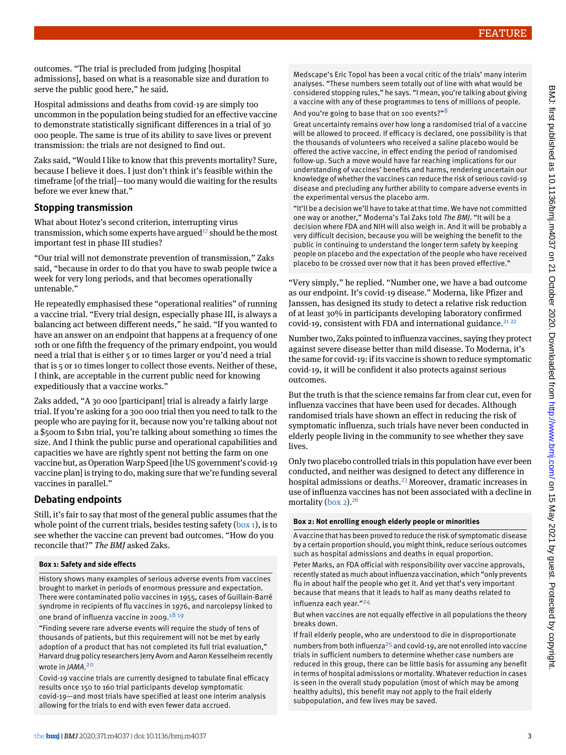outcomes. "The trial is precluded from judging [hospital admissions], based on what is a reasonable size and duration to serve the public good here," he said.

Hospital admissions and deaths from covid-19 are simply too uncommon in the population being studied for an effective vaccine to demonstrate statistically significant differences in a trial of 30 000 people. The same is true of its ability to save lives or prevent transmission: the trials are not designed to find out.

Zaks said, "Would I like to know that this prevents mortality? Sure, because I believe it does. I just don't think it's feasible within the timeframe [of the trial]—too many would die waiting for the results before we ever knew that."

## **Stopping transmission**

What about Hotez's second criterion, interrupting virus transmission, which some experts have argued<sup>[17](#page-3-14)</sup> should be the most important test in phase III studies?

"Our trial will not demonstrate prevention of transmission," Zaks said, "because in order to do that you have to swab people twice a week for very long periods, and that becomes operationally untenable."

He repeatedly emphasised these "operational realities" of running a vaccine trial. "Every trial design, especially phase III, is always a balancing act between different needs," he said. "If you wanted to have an answer on an endpoint that happens at a frequency of one 10th or one fifth the frequency of the primary endpoint, you would need a trial that is either 5 or 10 times larger or you'd need a trial that is 5 or 10 times longer to collect those events. Neither of these, I think, are acceptable in the current public need for knowing expeditiously that a vaccine works."

Zaks added, "A 30 000 [participant] trial is already a fairly large trial. If you're asking for a 300 000 trial then you need to talk to the people who are paying for it, because now you're talking about not a \$500m to \$1bn trial, you're talking about something 10 times the size. And I think the public purse and operational capabilities and capacities we have are rightly spent not betting the farm on one vaccine but, as Operation Warp Speed [the US government's covid-19 vaccine plan] is trying to do, making sure that we're funding several vaccines in parallel."

## <span id="page-2-0"></span>**Debating endpoints**

Still, it's fair to say that most of the general public assumes that the whole point of the current trials, besides testing safety ( $box 1$ ), is to see whether the vaccine can prevent bad outcomes. "How do you reconcile that?" *The BMJ* asked Zaks.

#### **Box 1: Safety and side effects**

History shows many examples of serious adverse events from vaccines brought to market in periods of enormous pressure and expectation. There were contaminated polio vaccines in 1955, cases of Guillain-Barré syndrome in recipients of flu vaccines in 1976, and narcolepsy linked to one brand of influenza vaccine in 2009.<sup>[18](#page-3-15) [19](#page-3-16)</sup>

"Finding severe rare adverse events will require the study of tens of thousands of patients, but this requirement will not be met by early adoption of a product that has not completed its full trial evaluation," Harvard drug policy researchers Jerry Avorn and Aaron Kesselheim recently wrote in *JAMA*. [20](#page-3-17)

Covid-19 vaccine trials are currently designed to tabulate final efficacy results once 150 to 160 trial participants develop symptomatic covid-19—and most trials have specified at least one interim analysis allowing for the trials to end with even fewer data accrued.

Medscape's Eric Topol has been a vocal critic of the trials' many interim analyses. "These numbers seem totally out of line with what would be considered stopping rules," he says. "I mean, you're talking about giving a vaccine with any of these programmes to tens of millions of people. And you're going to base that on 100 events?"<sup>[8](#page-3-6)</sup>

Great uncertainty remains over how long a randomised trial of a vaccine will be allowed to proceed. If efficacy is declared, one possibility is that the thousands of volunteers who received a saline placebo would be offered the active vaccine, in effect ending the period of randomised follow-up. Such a move would have far reaching implications for our understanding of vaccines' benefits and harms, rendering uncertain our knowledge of whether the vaccines can reduce the risk of serious covid-19 disease and precluding any further ability to compare adverse events in the experimental versus the placebo arm.

"It'll be a decision we'll have to take at that time. We have not committed one way or another," Moderna's Tal Zaks told *The BMJ*. "It will be a decision where FDA and NIH will also weigh in. And it will be probably a very difficult decision, because you will be weighing the benefit to the public in continuing to understand the longer term safety by keeping people on placebo and the expectation of the people who have received placebo to be crossed over now that it has been proved effective."

"Very simply," he replied. "Number one, we have a bad outcome as our endpoint. It's covid-19 disease." Moderna, like Pfizer and Janssen, has designed its study to detect a relative risk reduction of at least 30% in participants developing laboratory confirmed covid-19, consistent with FDA and international guidance.<sup>[21](#page-3-18) [22](#page-3-19)</sup>

Number two, Zaks pointed to influenza vaccines, saying they protect against severe disease better than mild disease. To Moderna, it's the same for covid-19: if its vaccine is shown to reduce symptomatic covid-19, it will be confident it also protects against serious outcomes.

But the truth is that the science remains far from clear cut, even for influenza vaccines that have been used for decades. Although randomised trials have shown an effect in reducing the risk of symptomatic influenza, such trials have never been conducted in elderly people living in the community to see whether they save lives.

<span id="page-2-1"></span>Only two placebo controlled trials in this population have ever been conducted, and neither was designed to detect any difference in hospital admissions or deaths.<sup>[23](#page-3-20)</sup> Moreover, dramatic increases in use of influenza vaccines has not been associated with a decline in mortality [\(box 2\)](#page-2-1). $26$ 

#### **Box 2: Not enrolling enough elderly people or minorities**

A vaccine that has been proved to reduce the risk of symptomatic disease by a certain proportion should, you might think, reduce serious outcomes such as hospital admissions and deaths in equal proportion.

Peter Marks, an FDA official with responsibility over vaccine approvals, recently stated as much about influenza vaccination, which "only prevents flu in about half the people who get it. And yet that's very important because that means that it leads to half as many deaths related to influenza each year." [24](#page-3-22)

But when vaccines are not equally effective in all populations the theory breaks down.

If frail elderly people, who are understood to die in disproportionate numbers from both influenza<sup>[25](#page-3-23)</sup> and covid-19, are not enrolled into vaccine trials in sufficient numbers to determine whether case numbers are reduced in this group, there can be little basis for assuming any benefit in terms of hospital admissions or mortality. Whatever reduction in cases is seen in the overall study population (most of which may be among healthy adults), this benefit may not apply to the frail elderly subpopulation, and few lives may be saved.